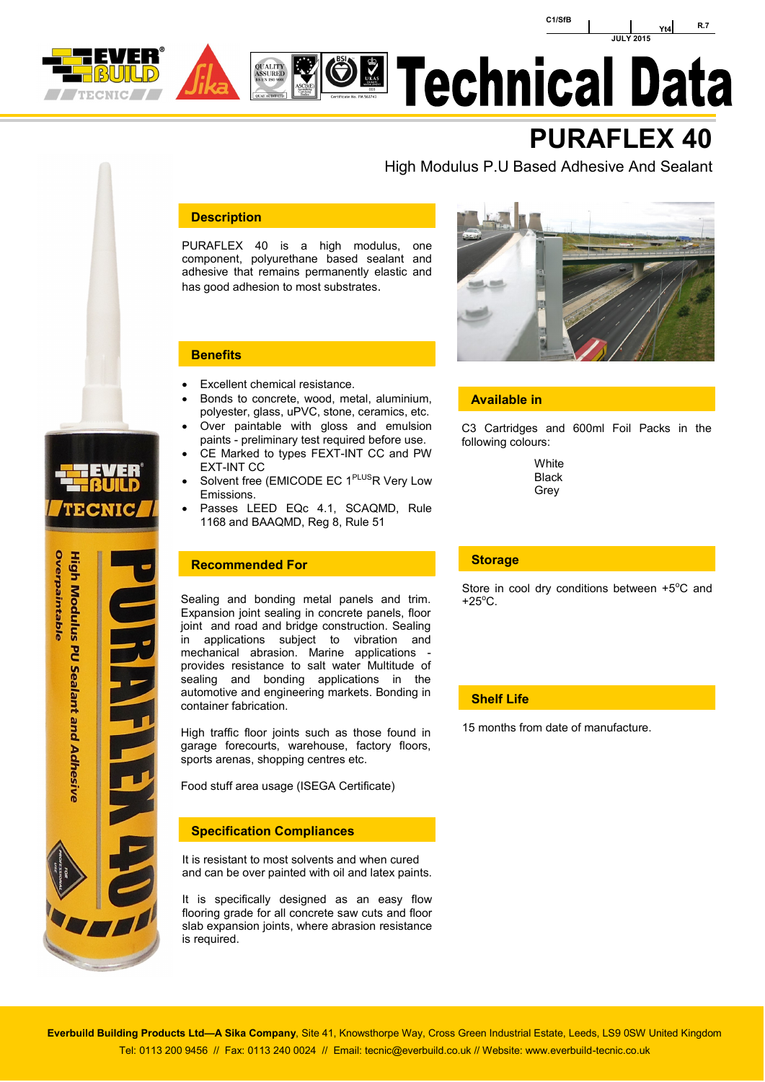



# **El Technical Data**

# **PURAFLEX 40**

High Modulus P.U Based Adhesive And Sealant

# **Description**

PURAFLEX 40 is a high modulus, one component, polyurethane based sealant and adhesive that remains permanently elastic and has good adhesion to most substrates.



- Excellent chemical resistance.
- Bonds to concrete, wood, metal, aluminium, polyester, glass, uPVC, stone, ceramics, etc.
- Over paintable with gloss and emulsion paints - preliminary test required before use. CE Marked to types FEXT-INT CC and PW
- EXT-INT CC
- Solvent free (EMICODE EC 1<sup>PLUS</sup>R Very Low Emissions.
- Passes LEED EQc 4.1, SCAQMD, Rule 1168 and BAAQMD, Reg 8, Rule 51

# **Recommended For**

Sealing and bonding metal panels and trim. Expansion joint sealing in concrete panels, floor joint and road and bridge construction. Sealing in applications subject to vibration and mechanical abrasion. Marine applications provides resistance to salt water Multitude of sealing and bonding applications in the automotive and engineering markets. Bonding in container fabrication.

High traffic floor joints such as those found in garage forecourts, warehouse, factory floors, sports arenas, shopping centres etc.

Food stuff area usage (ISEGA Certificate)

#### **Specification Compliances**

It is resistant to most solvents and when cured and can be over painted with oil and latex paints.

It is specifically designed as an easy flow flooring grade for all concrete saw cuts and floor slab expansion joints, where abrasion resistance is required.



# **Available in**

C3 Cartridges and 600ml Foil Packs in the following colours:

> **White** Black Grey

#### **Storage**

Store in cool dry conditions between  $+5^{\circ}$ C and  $+25^{\circ}$ C.

# **Shelf Life**

15 months from date of manufacture.